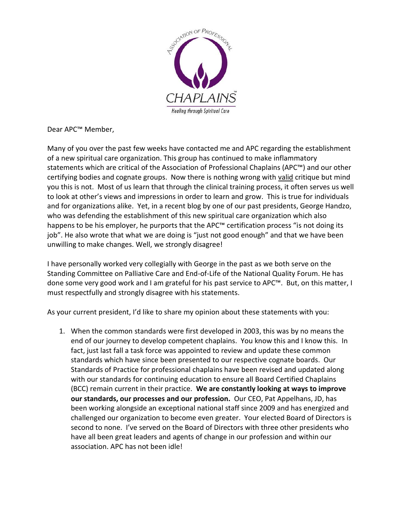

Dear APC™ Member,

Many of you over the past few weeks have contacted me and APC regarding the establishment of a new spiritual care organization. This group has continued to make inflammatory statements which are critical of the Association of Professional Chaplains (APC™) and our other certifying bodies and cognate groups. Now there is nothing wrong with valid critique but mind you this is not. Most of us learn that through the clinical training process, it often serves us well to look at other's views and impressions in order to learn and grow. This is true for individuals and for organizations alike. Yet, in a recent blog by one of our past presidents, George Handzo, who was defending the establishment of this new spiritual care organization which also happens to be his employer, he purports that the APC™ certification process "is not doing its job". He also wrote that what we are doing is "just not good enough" and that we have been unwilling to make changes. Well, we strongly disagree!

I have personally worked very collegially with George in the past as we both serve on the Standing Committee on Palliative Care and End-of-Life of the National Quality Forum. He has done some very good work and I am grateful for his past service to APC™. But, on this matter, I must respectfully and strongly disagree with his statements.

As your current president, I'd like to share my opinion about these statements with you:

1. When the common standards were first developed in 2003, this was by no means the end of our journey to develop competent chaplains. You know this and I know this. In fact, just last fall a task force was appointed to review and update these common standards which have since been presented to our respective cognate boards. Our Standards of Practice for professional chaplains have been revised and updated along with our standards for continuing education to ensure all Board Certified Chaplains (BCC) remain current in their practice. **We are constantly looking at ways to improve our standards, our processes and our profession.** Our CEO, Pat Appelhans, JD, has been working alongside an exceptional national staff since 2009 and has energized and challenged our organization to become even greater. Your elected Board of Directors is second to none. I've served on the Board of Directors with three other presidents who have all been great leaders and agents of change in our profession and within our association. APC has not been idle!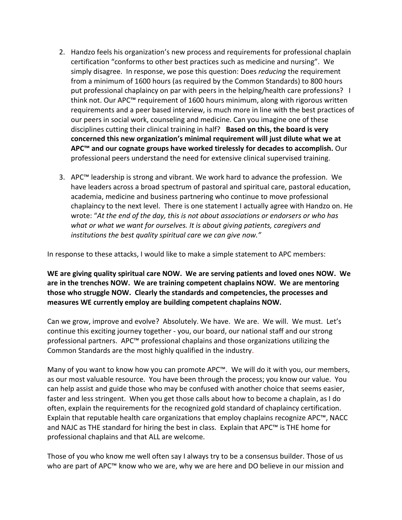- 2. Handzo feels his organization's new process and requirements for professional chaplain certification "conforms to other best practices such as medicine and nursing". We simply disagree. In response, we pose this question: Does *reducing* the requirement from a minimum of 1600 hours (as required by the Common Standards) to 800 hours put professional chaplaincy on par with peers in the helping/health care professions? I think not. Our APC™ requirement of 1600 hours minimum, along with rigorous written requirements and a peer based interview, is much more in line with the best practices of our peers in social work, counseling and medicine. Can you imagine one of these disciplines cutting their clinical training in half? **Based on this, the board is very concerned this new organization's minimal requirement will just dilute what we at APC™ and our cognate groups have worked tirelessly for decades to accomplish.** Our professional peers understand the need for extensive clinical supervised training.
- 3. APC<sup>™</sup> leadership is strong and vibrant. We work hard to advance the profession. We have leaders across a broad spectrum of pastoral and spiritual care, pastoral education, academia, medicine and business partnering who continue to move professional chaplaincy to the next level. There is one statement I actually agree with Handzo on. He wrote: "*At the end of the day, this is not about associations or endorsers or who has what or what we want for ourselves. It is about giving patients, caregivers and institutions the best quality spiritual care we can give now."*

In response to these attacks, I would like to make a simple statement to APC members:

**WE are giving quality spiritual care NOW. We are serving patients and loved ones NOW. We are in the trenches NOW. We are training competent chaplains NOW. We are mentoring those who struggle NOW. Clearly the standards and competencies, the processes and measures WE currently employ are building competent chaplains NOW.**

Can we grow, improve and evolve?Absolutely. We have. We are. We will. We must. Let's continue this exciting journey together - you, our board, our national staff and our strong professional partners. APC™ professional chaplains and those organizations utilizing the Common Standards are the most highly qualified in the industry.

Many of you want to know how you can promote APC™. We will do it with you, our members, as our most valuable resource. You have been through the process; you know our value. You can help assist and guide those who may be confused with another choice that seems easier, faster and less stringent. When you get those calls about how to become a chaplain, as I do often, explain the requirements for the recognized gold standard of chaplaincy certification. Explain that reputable health care organizations that employ chaplains recognize APC™, NACC and NAJC as THE standard for hiring the best in class. Explain that APC™ is THE home for professional chaplains and that ALL are welcome.

Those of you who know me well often say I always try to be a consensus builder. Those of us who are part of APC™ know who we are, why we are here and DO believe in our mission and